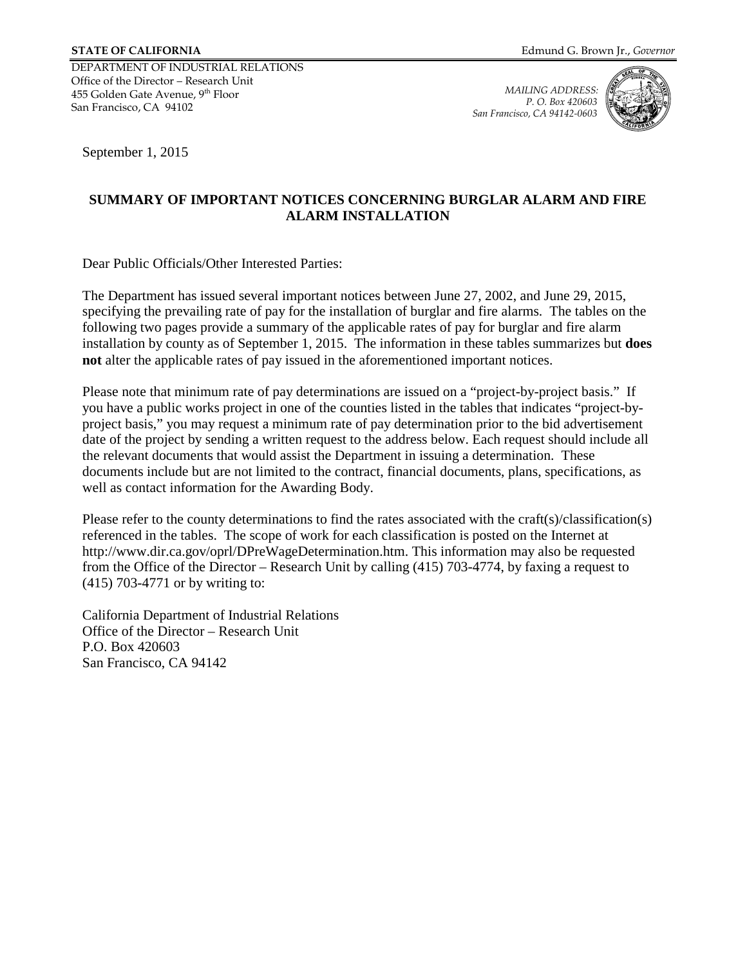DEPARTMENT OF INDUSTRIAL RELATIONS Office of the Director – Research Unit 455 Golden Gate Avenue, 9th Floor San Francisco, CA 94102

*MAILING ADDRESS: P. O. Box 420603 San Francisco, CA 94142-0603*



September 1, 2015

## **SUMMARY OF IMPORTANT NOTICES CONCERNING BURGLAR ALARM AND FIRE ALARM INSTALLATION**

Dear Public Officials/Other Interested Parties:

The Department has issued several important notices between June 27, 2002, and June 29, 2015, specifying the prevailing rate of pay for the installation of burglar and fire alarms. The tables on the following two pages provide a summary of the applicable rates of pay for burglar and fire alarm installation by county as of September 1, 2015. The information in these tables summarizes but **does not** alter the applicable rates of pay issued in the aforementioned important notices.

Please note that minimum rate of pay determinations are issued on a "project-by-project basis." If you have a public works project in one of the counties listed in the tables that indicates "project-byproject basis," you may request a minimum rate of pay determination prior to the bid advertisement date of the project by sending a written request to the address below. Each request should include all the relevant documents that would assist the Department in issuing a determination. These documents include but are not limited to the contract, financial documents, plans, specifications, as well as contact information for the Awarding Body.

Please refer to the county determinations to find the rates associated with the craft(s)/classification(s) referenced in the tables. The scope of work for each classification is posted on the Internet at http://www.dir.ca.gov/oprl/DPreWageDetermination.htm. This information may also be requested from the Office of the Director – Research Unit by calling (415) 703-4774, by faxing a request to (415) 703-4771 or by writing to:

California Department of Industrial Relations Office of the Director – Research Unit P.O. Box 420603 San Francisco, CA 94142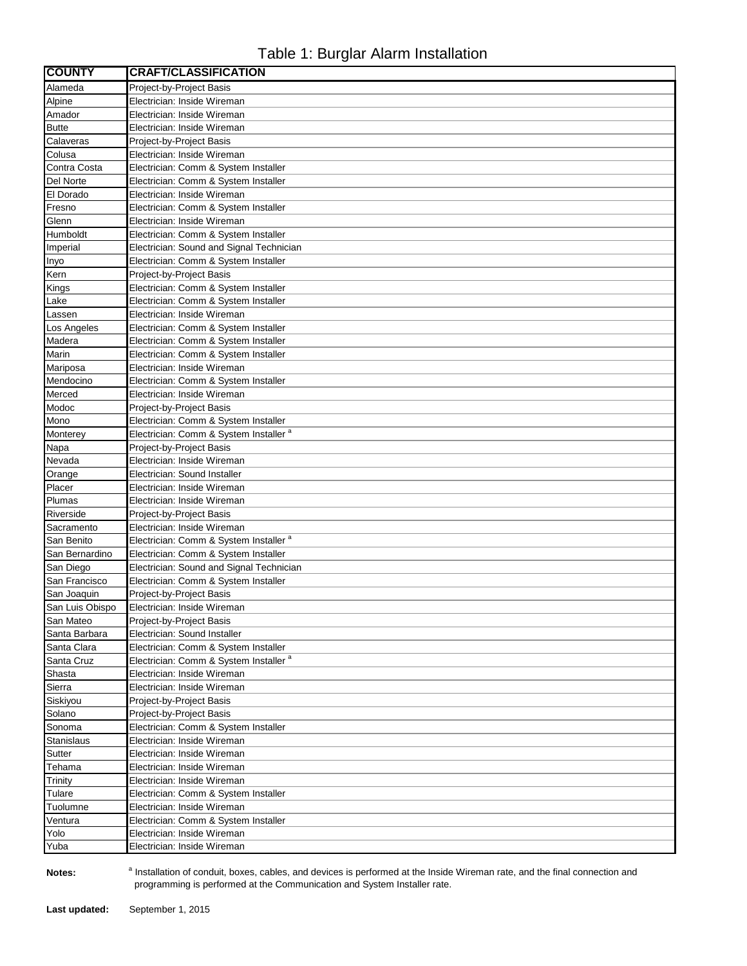## Table 1: Burglar Alarm Installation

| <b>COUNTY</b>     | <b>CRAFT/CLASSIFICATION</b>                                |
|-------------------|------------------------------------------------------------|
| Alameda           | Project-by-Project Basis                                   |
| Alpine            | Electrician: Inside Wireman                                |
| Amador            | Electrician: Inside Wireman                                |
| <b>Butte</b>      | Electrician: Inside Wireman                                |
| Calaveras         | Project-by-Project Basis                                   |
| Colusa            | Electrician: Inside Wireman                                |
| Contra Costa      | Electrician: Comm & System Installer                       |
| Del Norte         | Electrician: Comm & System Installer                       |
| El Dorado         | Electrician: Inside Wireman                                |
| Fresno            | Electrician: Comm & System Installer                       |
| Glenn             | Electrician: Inside Wireman                                |
| Humboldt          | Electrician: Comm & System Installer                       |
| Imperial          | Electrician: Sound and Signal Technician                   |
| Inyo              | Electrician: Comm & System Installer                       |
| Kern              | Project-by-Project Basis                                   |
| Kings             | Electrician: Comm & System Installer                       |
| Lake              | Electrician: Comm & System Installer                       |
| Lassen            | Electrician: Inside Wireman                                |
| Los Angeles       | Electrician: Comm & System Installer                       |
| Madera            | Electrician: Comm & System Installer                       |
| Marin             | Electrician: Comm & System Installer                       |
| Mariposa          | Electrician: Inside Wireman                                |
| Mendocino         | Electrician: Comm & System Installer                       |
| Merced            | Electrician: Inside Wireman                                |
| Modoc             | Project-by-Project Basis                                   |
| Mono              | Electrician: Comm & System Installer                       |
| Monterey          | Electrician: Comm & System Installer <sup>a</sup>          |
| Napa              | Project-by-Project Basis                                   |
| Nevada            | Electrician: Inside Wireman                                |
| Orange            | Electrician: Sound Installer                               |
| Placer            | Electrician: Inside Wireman                                |
| Plumas            | Electrician: Inside Wireman                                |
| Riverside         | Project-by-Project Basis                                   |
| Sacramento        | Electrician: Inside Wireman                                |
| San Benito        | Electrician: Comm & System Installer <sup>a</sup>          |
| San Bernardino    | Electrician: Comm & System Installer                       |
| San Diego         | Electrician: Sound and Signal Technician                   |
| San Francisco     | Electrician: Comm & System Installer                       |
| San Joaquin       | Project-by-Project Basis                                   |
| San Luis Obispo   | Electrician: Inside Wireman                                |
| San Mateo         | Project-by-Project Basis                                   |
| Santa Barbara     | Electrician: Sound Installer                               |
| Santa Clara       | Electrician: Comm & System Installer                       |
| Santa Cruz        | Electrician: Comm & System Installer <sup>a</sup>          |
| Shasta            | Electrician: Inside Wireman                                |
| Sierra            | Electrician: Inside Wireman                                |
| Siskiyou          | Project-by-Project Basis                                   |
| Solano            | Project-by-Project Basis                                   |
| Sonoma            | Electrician: Comm & System Installer                       |
| <b>Stanislaus</b> | Electrician: Inside Wireman                                |
| Sutter            | Electrician: Inside Wireman                                |
| Tehama            | Electrician: Inside Wireman                                |
| Trinity           | Electrician: Inside Wireman                                |
| Tulare            | Electrician: Comm & System Installer                       |
| Tuolumne          | Electrician: Inside Wireman                                |
| Ventura           | Electrician: Comm & System Installer                       |
| Yolo<br>Yuba      | Electrician: Inside Wireman<br>Electrician: Inside Wireman |
|                   |                                                            |

**Notes:** 

<sup>a</sup> Installation of conduit, boxes, cables, and devices is performed at the Inside Wireman rate, and the final connection and programming is performed at the Communication and System Installer rate.